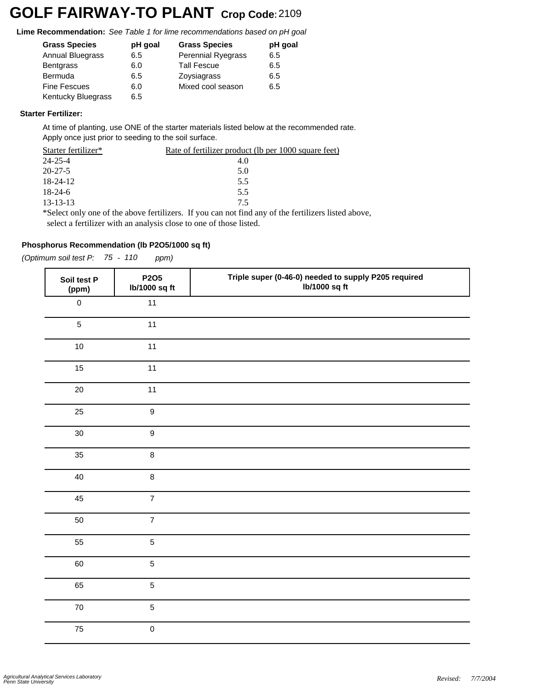# **GOLF FAIRWAY-TO PLANT Crop Code:**<sup>2109</sup>

**Lime Recommendation:** *See Table 1 for lime recommendations based on pH goal*

| <b>Grass Species</b>      | pH goal | <b>Grass Species</b>      | pH goal |
|---------------------------|---------|---------------------------|---------|
|                           |         |                           |         |
| <b>Annual Bluegrass</b>   | 6.5     | <b>Perennial Ryegrass</b> | 6.5     |
| <b>Bentgrass</b>          | 6.0     | <b>Tall Fescue</b>        | 6.5     |
| <b>Bermuda</b>            | 6.5     | Zoysiagrass               | 6.5     |
| <b>Fine Fescues</b>       | 6.0     | Mixed cool season         | 6.5     |
| <b>Kentucky Bluegrass</b> | 6.5     |                           |         |

### **Starter Fertilizer:**

At time of planting, use ONE of the starter materials listed below at the recommended rate. Apply once just prior to seeding to the soil surface.

| Starter fertilizer* | Rate of fertilizer product (lb per 1000 square feet)                                            |
|---------------------|-------------------------------------------------------------------------------------------------|
| 24-25-4             | 4.0                                                                                             |
| $20 - 27 - 5$       | 5.0                                                                                             |
| 18-24-12            | 5.5                                                                                             |
| 18-24-6             | 5.5                                                                                             |
| $13 - 13 - 13$      | 75                                                                                              |
|                     | Select only one of the above fertilizers. If you can not find any of the fertilizers listed abo |

\*Select only one of the above fertilizers. If you can not find any of the fertilizers listed above, select a fertilizer with an analysis close to one of those listed.

### **Phosphorus Recommendation (lb P2O5/1000 sq ft)**

*(Optimum soil test P: 75 - 110 ppm)*

| Soil test P<br>(ppm) | P2O5<br>lb/1000 sq ft | Triple super (0-46-0) needed to supply P205 required<br>lb/1000 sq ft |
|----------------------|-----------------------|-----------------------------------------------------------------------|
| $\mathsf{O}\xspace$  | 11                    |                                                                       |
| $\overline{5}$       | 11                    |                                                                       |
| 10                   | 11                    |                                                                       |
| 15                   | 11                    |                                                                       |
| 20                   | 11                    |                                                                       |
| 25                   | 9                     |                                                                       |
| 30                   | $\boldsymbol{9}$      |                                                                       |
| 35                   | 8                     |                                                                       |
| $40\,$               | 8                     |                                                                       |
| 45                   | $\overline{7}$        |                                                                       |
| 50                   | $\overline{7}$        |                                                                       |
| 55                   | $\overline{5}$        |                                                                       |
| 60                   | $\overline{5}$        |                                                                       |
| 65                   | 5                     |                                                                       |
| ${\bf 70}$           | $\overline{5}$        |                                                                       |
| ${\bf 75}$           | $\mathsf 0$           |                                                                       |